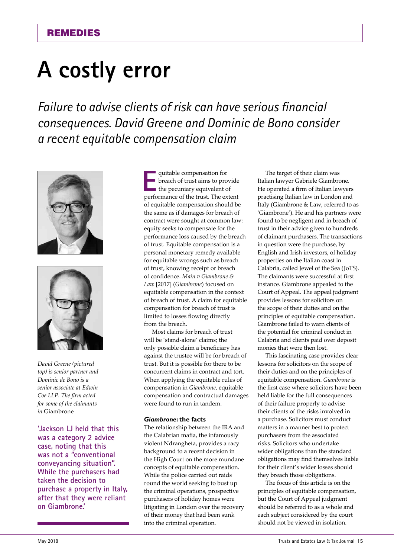# **A costly error**

*Failure to advise clients of risk can have serious financial consequences. David Greene and Dominic de Bono consider a recent equitable compensation claim*





*David Greene (pictured top) is senior partner and Dominic de Bono is a senior associate at Edwin Coe LLP. The firm acted for some of the claimants in* Giambrone

**'Jackson LJ held that this was a category 2 advice case, noting that this was not a "conventional conveyancing situation". While the purchasers had taken the decision to purchase a property in Italy, after that they were reliant on Giambrone.'**

quitable compensation for<br>breach of trust aims to pro-<br>the pecuniary equivalent of<br>performance of the trust. The oxy breach of trust aims to provide the pecuniary equivalent of performance of the trust. The extent of equitable compensation should be the same as if damages for breach of contract were sought at common law: equity seeks to compensate for the performance loss caused by the breach of trust. Equitable compensation is a personal monetary remedy available for equitable wrongs such as breach of trust, knowing receipt or breach of confidence. *Main v Giambrone & Law* [2017] (*Giambrone*) focused on equitable compensation in the context of breach of trust. A claim for equitable compensation for breach of trust is limited to losses flowing directly from the breach.

Most claims for breach of trust will be 'stand-alone' claims; the only possible claim a beneficiary has against the trustee will be for breach of trust. But it is possible for there to be concurrent claims in contract and tort. When applying the equitable rules of compensation in *Giambrone*, equitable compensation and contractual damages were found to run in tandem.

### *Giambrone***: the facts**

The relationship between the IRA and the Calabrian mafia, the infamously violent Ndrangheta, provides a racy background to a recent decision in the High Court on the more mundane concepts of equitable compensation. While the police carried out raids round the world seeking to bust up the criminal operations, prospective purchasers of holiday homes were litigating in London over the recovery of their money that had been sunk into the criminal operation.

The target of their claim was Italian lawyer Gabriele Giambrone. He operated a firm of Italian lawyers practising Italian law in London and Italy (Giambrone & Law, referred to as 'Giambrone'). He and his partners were found to be negligent and in breach of trust in their advice given to hundreds of claimant purchasers. The transactions in question were the purchase, by English and Irish investors, of holiday properties on the Italian coast in Calabria, called Jewel of the Sea (JoTS). The claimants were successful at first instance. Giambrone appealed to the Court of Appeal. The appeal judgment provides lessons for solicitors on the scope of their duties and on the principles of equitable compensation. Giambrone failed to warn clients of the potential for criminal conduct in Calabria and clients paid over deposit monies that were then lost.

This fascinating case provides clear lessons for solicitors on the scope of their duties and on the principles of equitable compensation. *Giambrone* is the first case where solicitors have been held liable for the full consequences of their failure properly to advise their clients of the risks involved in a purchase. Solicitors must conduct matters in a manner best to protect purchasers from the associated risks. Solicitors who undertake wider obligations than the standard obligations may find themselves liable for their client's wider losses should they breach those obligations.

The focus of this article is on the principles of equitable compensation, but the Court of Appeal judgment should be referred to as a whole and each subject considered by the court should not be viewed in isolation.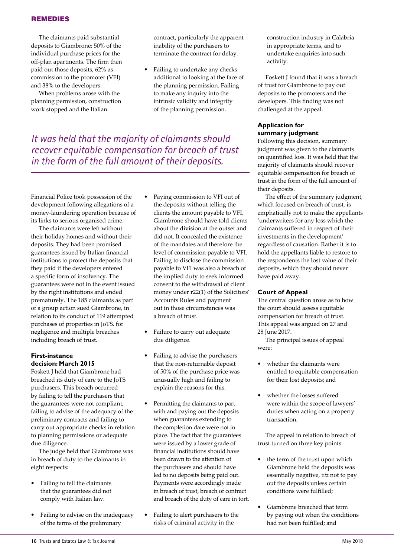The claimants paid substantial deposits to Giambrone: 50% of the individual purchase prices for the off-plan apartments. The firm then paid out those deposits, 62% as commission to the promoter (VFI) and 38% to the developers.

When problems arose with the planning permission, construction work stopped and the Italian

contract, particularly the apparent inability of the purchasers to terminate the contract for delay.

**•** Failing to undertake any checks additional to looking at the face of the planning permission. Failing to make any inquiry into the intrinsic validity and integrity of the planning permission.

*It was held that the majority of claimants should recover equitable compensation for breach of trust in the form of the full amount of their deposits.* 

Financial Police took possession of the development following allegations of a money-laundering operation because of its links to serious organised crime.

The claimants were left without their holiday homes and without their deposits. They had been promised guarantees issued by Italian financial institutions to protect the deposits that they paid if the developers entered a specific form of insolvency. The guarantees were not in the event issued by the right institutions and ended prematurely. The 185 claimants as part of a group action sued Giambrone, in relation to its conduct of 119 attempted purchases of properties in JoTS, for negligence and multiple breaches including breach of trust.

# **First-instance decision: March 2015**

Foskett J held that Giambrone had breached its duty of care to the JoTS purchasers. This breach occurred by failing to tell the purchasers that the guarantees were not compliant, failing to advise of the adequacy of the preliminary contracts and failing to carry out appropriate checks in relation to planning permissions or adequate due diligence.

The judge held that Giambrone was in breach of duty to the claimants in eight respects:

- **•** Failing to tell the claimants that the guarantees did not comply with Italian law.
- **•** Failing to advise on the inadequacy of the terms of the preliminary
- **•** Paying commission to VFI out of the deposits without telling the clients the amount payable to VFI. Giambrone should have told clients about the division at the outset and did not. It concealed the existence of the mandates and therefore the level of commission payable to VFI. Failing to disclose the commission payable to VFI was also a breach of the implied duty to seek informed consent to the withdrawal of client money under r22(1) of the Solicitors' Accounts Rules and payment out in those circumstances was a breach of trust.
- **•** Failure to carry out adequate due diligence.
- **•** Failing to advise the purchasers that the non-returnable deposit of 50% of the purchase price was unusually high and failing to explain the reasons for this.
- **•** Permitting the claimants to part with and paying out the deposits when guarantees extending to the completion date were not in place. The fact that the guarantees were issued by a lower grade of financial institutions should have been drawn to the attention of the purchasers and should have led to no deposits being paid out. Payments were accordingly made in breach of trust, breach of contract and breach of the duty of care in tort.
- **•** Failing to alert purchasers to the risks of criminal activity in the

construction industry in Calabria in appropriate terms, and to undertake enquiries into such activity.

Foskett J found that it was a breach of trust for Giambrone to pay out deposits to the promoters and the developers. This finding was not challenged at the appeal.

# **Application for summary judgment**

Following this decision, summary judgment was given to the claimants on quantified loss. It was held that the majority of claimants should recover equitable compensation for breach of trust in the form of the full amount of their deposits.

The effect of the summary judgment, which focused on breach of trust, is emphatically not to make the appellants 'underwriters for any loss which the claimants suffered in respect of their investments in the development' regardless of causation. Rather it is to hold the appellants liable to restore to the respondents the lost value of their deposits, which they should never have paid away.

# **Court of Appeal**

The central question arose as to how the court should assess equitable compensation for breach of trust. This appeal was argued on 27 and 28 June 2017.

The principal issues of appeal were:

- **•** whether the claimants were entitled to equitable compensation for their lost deposits; and
- **•** whether the losses suffered were within the scope of lawyers' duties when acting on a property transaction.

The appeal in relation to breach of trust turned on three key points:

- **•** the term of the trust upon which Giambrone held the deposits was essentially negative, *viz* not to pay out the deposits unless certain conditions were fulfilled;
- **•** Giambrone breached that term by paying out when the conditions had not been fulfilled; and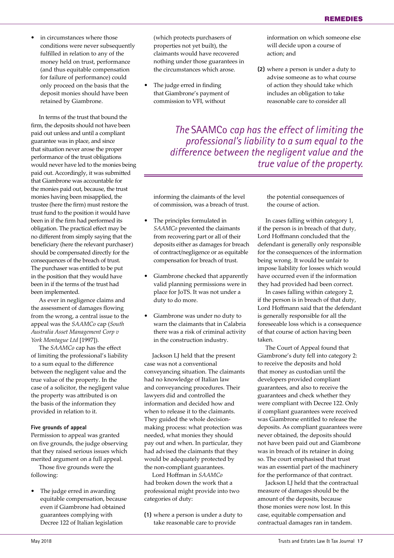**•** in circumstances where those conditions were never subsequently fulfilled in relation to any of the money held on trust, performance (and thus equitable compensation for failure of performance) could only proceed on the basis that the deposit monies should have been retained by Giambrone.

In terms of the trust that bound the firm, the deposits should not have been paid out unless and until a compliant guarantee was in place, and since that situation never arose the proper performance of the trust obligations would never have led to the monies being paid out. Accordingly, it was submitted that Giambrone was accountable for the monies paid out, because, the trust monies having been misapplied, the trustee (here the firm) must restore the trust fund to the position it would have been in if the firm had performed its obligation. The practical effect may be no different from simply saying that the beneficiary (here the relevant purchaser) should be compensated directly for the consequences of the breach of trust. The purchaser was entitled to be put in the position that they would have been in if the terms of the trust had been implemented.

As ever in negligence claims and the assessment of damages flowing from the wrong, a central issue to the appeal was the *SAAMCo* cap (*South Australia Asset Management Corp v York Montague Ltd* [1997]).

The *SAAMCo* cap has the effect of limiting the professional's liability to a sum equal to the difference between the negligent value and the true value of the property. In the case of a solicitor, the negligent value the property was attributed is on the basis of the information they provided in relation to it.

#### **Five grounds of appeal**

Permission to appeal was granted on five grounds, the judge observing that they raised serious issues which merited argument on a full appeal.

Those five grounds were the following:

**•** The judge erred in awarding equitable compensation, because even if Giambrone had obtained guarantees complying with Decree 122 of Italian legislation

(which protects purchasers of properties not yet built), the claimants would have recovered nothing under those guarantees in the circumstances which arose.

**•** The judge erred in finding that Giambrone's payment of commission to VFI, without

information on which someone else will decide upon a course of action; and

**(2)** where a person is under a duty to advise someone as to what course of action they should take which includes an obligation to take reasonable care to consider all

*The* SAAMCo *cap has the effect of limiting the professional's liability to a sum equal to the difference between the negligent value and the true value of the property.*

informing the claimants of the level of commission, was a breach of trust.

- **•** The principles formulated in *SAAMCo* prevented the claimants from recovering part or all of their deposits either as damages for breach of contract/negligence or as equitable compensation for breach of trust.
- **•** Giambrone checked that apparently valid planning permissions were in place for JoTS. It was not under a duty to do more.
- **•** Giambrone was under no duty to warn the claimants that in Calabria there was a risk of criminal activity in the construction industry.

Jackson LJ held that the present case was not a conventional conveyancing situation. The claimants had no knowledge of Italian law and conveyancing procedures. Their lawyers did and controlled the information and decided how and when to release it to the claimants. They guided the whole decisionmaking process: what protection was needed, what monies they should pay out and when. In particular, they had advised the claimants that they would be adequately protected by the non-compliant guarantees.

Lord Hoffman in *SAAMCo* had broken down the work that a professional might provide into two categories of duty:

**(1)** where a person is under a duty to take reasonable care to provide

the potential consequences of the course of action.

In cases falling within category 1, if the person is in breach of that duty, Lord Hoffmann concluded that the defendant is generally only responsible for the consequences of the information being wrong. It would be unfair to impose liability for losses which would have occurred even if the information they had provided had been correct.

In cases falling within category 2, if the person is in breach of that duty, Lord Hoffmann said that the defendant is generally responsible for all the foreseeable loss which is a consequence of that course of action having been taken.

The Court of Appeal found that Giambrone's duty fell into category 2: to receive the deposits and hold that money as custodian until the developers provided compliant guarantees, and also to receive the guarantees and check whether they were compliant with Decree 122. Only if compliant guarantees were received was Giambrone entitled to release the deposits. As compliant guarantees were never obtained, the deposits should not have been paid out and Giambrone was in breach of its retainer in doing so. The court emphasised that trust was an essential part of the machinery for the performance of that contract.

Jackson LJ held that the contractual measure of damages should be the amount of the deposits, because those monies were now lost. In this case, equitable compensation and contractual damages ran in tandem.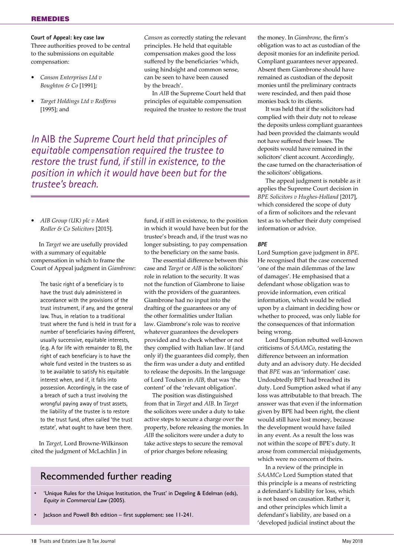**Court of Appeal: key case law** Three authorities proved to be central to the submissions on equitable compensation:

- **•** *Canson Enterprises Ltd v Boughton & Co* [1991];
- **•** *Target Holdings Ltd v Redferns*  [1995]; and

*Canson* as correctly stating the relevant principles. He held that equitable compensation makes good the loss suffered by the beneficiaries 'which, using hindsight and common sense, can be seen to have been caused by the breach'.

In *AIB* the Supreme Court held that principles of equitable compensation required the trustee to restore the trust

*In* AIB *the Supreme Court held that principles of equitable compensation required the trustee to restore the trust fund, if still in existence, to the position in which it would have been but for the trustee's breach.* 

**•** *AIB Group (UK) plc v Mark Redler & Co Solicitors* [2015].

In *Target* we are usefully provided with a summary of equitable compensation in which to frame the Court of Appeal judgment in *Giambrone*:

The basic right of a beneficiary is to have the trust duly administered in accordance with the provisions of the trust instrument, if any, and the general law. Thus, in relation to a traditional trust where the fund is held in trust for a number of beneficiaries having different, usually successive, equitable interests, (e.g. A for life with remainder to B), the right of each beneficiary is to have the whole fund vested in the trustees so as to be available to satisfy his equitable interest when, and if, it falls into possession. Accordingly, in the case of a breach of such a trust involving the wrongful paying away of trust assets, the liability of the trustee is to restore to the trust fund, often called 'the trust estate', what ought to have been there.

In *Target*, Lord Browne-Wilkinson cited the judgment of McLachlin J in

fund, if still in existence, to the position in which it would have been but for the trustee's breach and, if the trust was no longer subsisting, to pay compensation to the beneficiary on the same basis.

The essential difference between this case and *Target* or *AIB* is the solicitors' role in relation to the security. It was not the function of Giambrone to liaise with the providers of the guarantees. Giambrone had no input into the drafting of the guarantees or any of the other formalities under Italian law. Giambrone's role was to receive whatever guarantees the developers provided and to check whether or not they complied with Italian law. If (and only if) the guarantees did comply, then the firm was under a duty and entitled to release the deposits. In the language of Lord Toulson in *AIB*, that was 'the content' of the 'relevant obligation'.

The position was distinguished from that in *Target* and *AIB*. In *Target* the solicitors were under a duty to take active steps to secure a charge over the property, before releasing the monies. In *AIB* the solicitors were under a duty to take active steps to secure the removal of prior charges before releasing

# Recommended further reading

- 'Unique Rules for the Unique Institution, the Trust' in Degeling & Edelman (eds), Equity in Commercial Law (2005).
- Jackson and Powell 8th edition first supplement: see 11-241.

the money. In *Giambrone*, the firm's obligation was to act as custodian of the deposit monies for an indefinite period. Compliant guarantees never appeared. Absent them Giambrone should have remained as custodian of the deposit monies until the preliminary contracts were rescinded, and then paid those monies back to its clients.

It was held that if the solicitors had complied with their duty not to release the deposits unless compliant guarantees had been provided the claimants would not have suffered their losses. The deposits would have remained in the solicitors' client account. Accordingly, the case turned on the characterisation of the solicitors' obligations.

The appeal judgment is notable as it applies the Supreme Court decision in *BPE Solicitors v Hughes-Holland* [2017], which considered the scope of duty of a firm of solicitors and the relevant test as to whether their duty comprised information or advice.

#### **BPE**

Lord Sumption gave judgment in *BPE*. He recognised that the case concerned 'one of the main dilemmas of the law of damages'. He emphasised that a defendant whose obligation was to provide information, even critical information, which would be relied upon by a claimant in deciding how or whether to proceed, was only liable for the consequences of that information being wrong.

Lord Sumption rebutted well-known criticisms of *SAAMCo*, restating the difference between an information duty and an advisory duty. He decided that *BPE* was an 'information' case. Undoubtedly BPE had breached its duty. Lord Sumption asked what if any loss was attributable to that breach. The answer was that even if the information given by BPE had been right, the client would still have lost money, because the development would have failed in any event. As a result the loss was not within the scope of BPE's duty. It arose from commercial misjudgements, which were no concern of theirs.

In a review of the principle in *SAAMCo* Lord Sumption stated that this principle is a means of restricting a defendant's liability for loss, which is not based on causation. Rather it, and other principles which limit a defendant's liability, are based on a 'developed judicial instinct about the